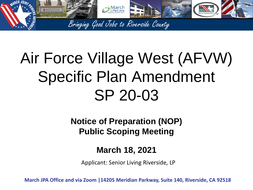

# Air Force Village West (AFVW) Specific Plan Amendment SP 20-03

**Notice of Preparation (NOP) Public Scoping Meeting**

#### **March 18, 2021**

Applicant: Senior Living Riverside, LP

**March JPA Office and via Zoom |14205 Meridian Parkway, Suite 140, Riverside, CA 92518**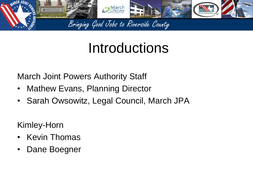

## Introductions

March Joint Powers Authority Staff

- Mathew Evans, Planning Director
- Sarah Owsowitz, Legal Council, March JPA

Kimley-Horn

- **Kevin Thomas**
- Dane Boegner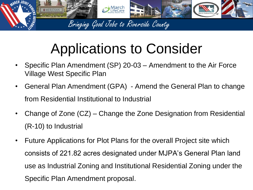

# Applications to Consider

- Specific Plan Amendment (SP) 20-03 Amendment to the Air Force Village West Specific Plan
- General Plan Amendment (GPA) Amend the General Plan to change from Residential Institutional to Industrial
- Change of Zone (CZ) Change the Zone Designation from Residential (R-10) to Industrial
- Future Applications for Plot Plans for the overall Project site which consists of 221.82 acres designated under MJPA's General Plan land use as Industrial Zoning and Institutional Residential Zoning under the Specific Plan Amendment proposal.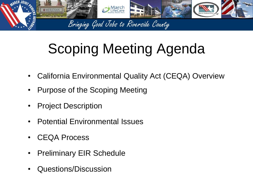

# Scoping Meeting Agenda

- California Environmental Quality Act (CEQA) Overview
- Purpose of the Scoping Meeting
- Project Description
- Potential Environmental Issues
- CEQA Process
- Preliminary EIR Schedule
- Questions/Discussion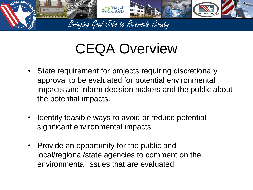

## CEQA Overview

- State requirement for projects requiring discretionary approval to be evaluated for potential environmental impacts and inform decision makers and the public about the potential impacts.
- Identify feasible ways to avoid or reduce potential significant environmental impacts.
- Provide an opportunity for the public and local/regional/state agencies to comment on the environmental issues that are evaluated.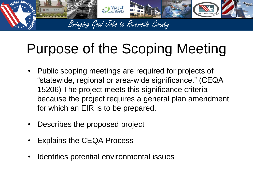

# Purpose of the Scoping Meeting

- Public scoping meetings are required for projects of "statewide, regional or area-wide significance." (CEQA 15206) The project meets this significance criteria because the project requires a general plan amendment for which an EIR is to be prepared.
- Describes the proposed project
- Explains the CEQA Process
- Identifies potential environmental issues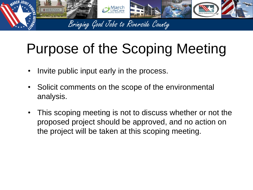

# Purpose of the Scoping Meeting

- Invite public input early in the process.
- Solicit comments on the scope of the environmental analysis.
- This scoping meeting is not to discuss whether or not the proposed project should be approved, and no action on the project will be taken at this scoping meeting.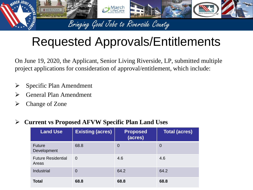

### Requested Approvals/Entitlements

On June 19, 2020, the Applicant, Senior Living Riverside, LP, submitted multiple project applications for consideration of approval/entitlement, which include:

- $\triangleright$  Specific Plan Amendment
- ➢ General Plan Amendment
- ➢ Change of Zone

#### ➢ **Current vs Proposed AFVW Specific Plan Land Uses**

| <b>Land Use</b>                    | <b>Existing (acres)</b> | <b>Proposed</b><br>(acres) | <b>Total (acres)</b> |
|------------------------------------|-------------------------|----------------------------|----------------------|
| <b>Future</b><br>Development       | 68.8                    | $\overline{0}$             | $\overline{0}$       |
| <b>Future Residential</b><br>Areas | $\overline{0}$          | 4.6                        | 4.6                  |
| Industrial                         | $\overline{0}$          | 64.2                       | 64.2                 |
| <b>Total</b>                       | 68.8                    | 68.8                       | 68.8                 |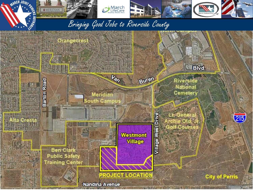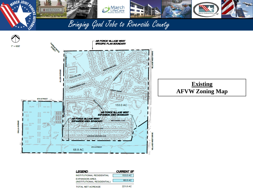



| LEGEND                                               | <b>CURRENT SP</b> |
|------------------------------------------------------|-------------------|
| <b>INSTITUTIONAL RESIDENTIAL</b>                     | 153.0 AC          |
| <b>EXPANSION AREA</b><br>(INSTITUTIONAL RESIDENTIAL) | 68.8 AC           |
| TOTAL NET ACREAGE                                    | 221.8 AC          |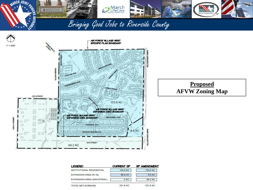![](_page_10_Picture_0.jpeg)

![](_page_10_Figure_1.jpeg)

![](_page_10_Figure_2.jpeg)

| LEGEND                           | <b>CURRENT SP</b> | <b>SP AMENDMENT</b> |
|----------------------------------|-------------------|---------------------|
| <b>INSTITUTIONAL RESIDENTIAL</b> | 153.0 AC          | 153.0 AC            |
| EXPANSION AREA (R-10)            | 68.8 AC           | 4.6 AC              |
| EXPANSION AREA (INDUSTRIAL)      | 0 AC              | 64.2 AC             |
| <b>TOTAL NET ACREAGE</b>         | 221.8 AC          | 221.8 AC            |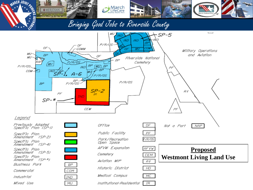![](_page_11_Figure_0.jpeg)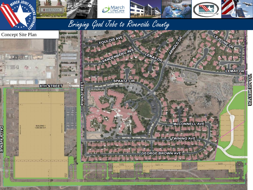![](_page_12_Picture_0.jpeg)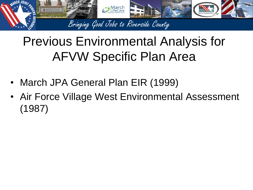![](_page_13_Picture_0.jpeg)

## Previous Environmental Analysis for AFVW Specific Plan Area

- March JPA General Plan EIR (1999)
- Air Force Village West Environmental Assessment (1987)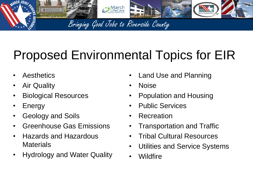![](_page_14_Picture_0.jpeg)

## Proposed Environmental Topics for EIR

- **Aesthetics**
- **Air Quality**
- Biological Resources
- **Energy**
- Geology and Soils
- Greenhouse Gas Emissions
- Hazards and Hazardous **Materials**
- Hydrology and Water Quality
- Land Use and Planning
- Noise
- Population and Housing
- Public Services
- Recreation
- Transportation and Traffic
- Tribal Cultural Resources
- Utilities and Service Systems
- Wildfire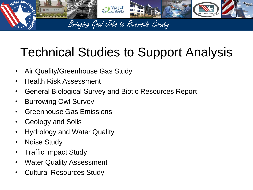![](_page_15_Picture_0.jpeg)

## Technical Studies to Support Analysis

- Air Quality/Greenhouse Gas Study
- Health Risk Assessment
- General Biological Survey and Biotic Resources Report
- Burrowing Owl Survey
- Greenhouse Gas Emissions
- Geology and Soils
- Hydrology and Water Quality
- Noise Study
- Traffic Impact Study
- **Water Quality Assessment**
- Cultural Resources Study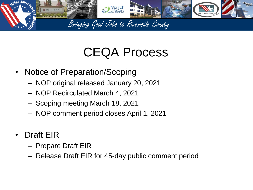![](_page_16_Picture_0.jpeg)

### CEQA Process

- Notice of Preparation/Scoping
	- NOP original released January 20, 2021
	- NOP Recirculated March 4, 2021
	- Scoping meeting March 18, 2021
	- NOP comment period closes April 1, 2021
- Draft EIR
	- Prepare Draft EIR
	- Release Draft EIR for 45-day public comment period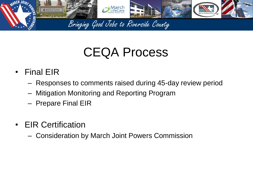![](_page_17_Picture_0.jpeg)

## CEQA Process

- Final EIR
	- Responses to comments raised during 45-day review period
	- Mitigation Monitoring and Reporting Program
	- Prepare Final EIR
- EIR Certification
	- Consideration by March Joint Powers Commission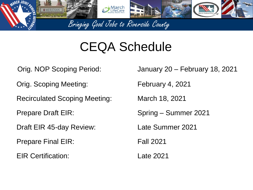![](_page_18_Picture_0.jpeg)

### CEQA Schedule

- 
- Orig. Scoping Meeting: February 4, 2021
- Recirculated Scoping Meeting: March 18, 2021
- 
- Draft EIR 45-day Review: Late Summer 2021
- Prepare Final EIR: Fall 2021
- EIR Certification: Late 2021
- Orig. NOP Scoping Period: January 20 February 18, 2021
	-
	-
- Prepare Draft EIR: Spring Summer 2021
	-
	-
	-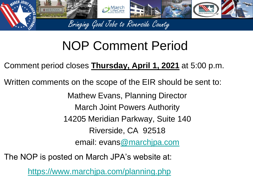![](_page_19_Picture_0.jpeg)

### NOP Comment Period

Comment period closes **Thursday, April 1, 2021** at 5:00 p.m.

Written comments on the scope of the EIR should be sent to:

Mathew Evans, Planning Director

March Joint Powers Authority

14205 Meridian Parkway, Suite 140

Riverside, CA 92518

email: evans[@marchjpa.com](mailto:sotelo@marchjpa.com)

The NOP is posted on March JPA's website at:

<https://www.marchjpa.com/planning.php>